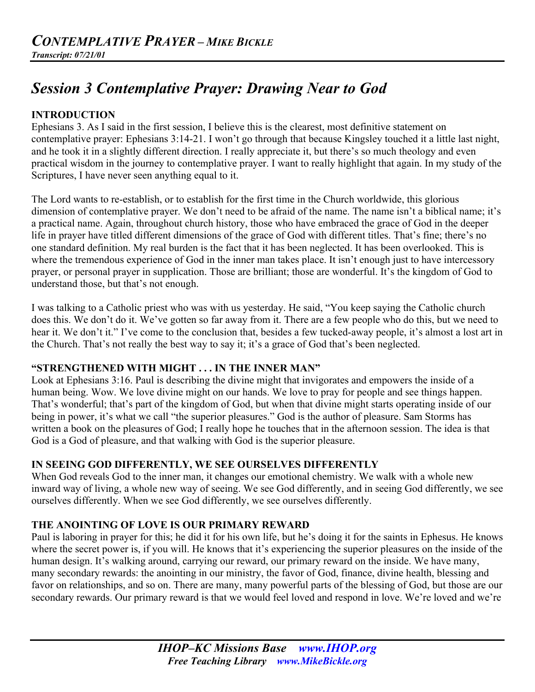# *Session 3 Contemplative Prayer: Drawing Near to God*

## **INTRODUCTION**

Ephesians 3. As I said in the first session, I believe this is the clearest, most definitive statement on contemplative prayer: Ephesians 3:14-21. I won't go through that because Kingsley touched it a little last night, and he took it in a slightly different direction. I really appreciate it, but there's so much theology and even practical wisdom in the journey to contemplative prayer. I want to really highlight that again. In my study of the Scriptures, I have never seen anything equal to it.

The Lord wants to re-establish, or to establish for the first time in the Church worldwide, this glorious dimension of contemplative prayer. We don't need to be afraid of the name. The name isn't a biblical name; it's a practical name. Again, throughout church history, those who have embraced the grace of God in the deeper life in prayer have titled different dimensions of the grace of God with different titles. That's fine; there's no one standard definition. My real burden is the fact that it has been neglected. It has been overlooked. This is where the tremendous experience of God in the inner man takes place. It isn't enough just to have intercessory prayer, or personal prayer in supplication. Those are brilliant; those are wonderful. It's the kingdom of God to understand those, but that's not enough.

I was talking to a Catholic priest who was with us yesterday. He said, "You keep saying the Catholic church does this. We don't do it. We've gotten so far away from it. There are a few people who do this, but we need to hear it. We don't it." I've come to the conclusion that, besides a few tucked-away people, it's almost a lost art in the Church. That's not really the best way to say it; it's a grace of God that's been neglected.

#### **"STRENGTHENED WITH MIGHT . . . IN THE INNER MAN"**

Look at Ephesians 3:16. Paul is describing the divine might that invigorates and empowers the inside of a human being. Wow. We love divine might on our hands. We love to pray for people and see things happen. That's wonderful; that's part of the kingdom of God, but when that divine might starts operating inside of our being in power, it's what we call "the superior pleasures." God is the author of pleasure. Sam Storms has written a book on the pleasures of God; I really hope he touches that in the afternoon session. The idea is that God is a God of pleasure, and that walking with God is the superior pleasure.

#### **IN SEEING GOD DIFFERENTLY, WE SEE OURSELVES DIFFERENTLY**

When God reveals God to the inner man, it changes our emotional chemistry. We walk with a whole new inward way of living, a whole new way of seeing. We see God differently, and in seeing God differently, we see ourselves differently. When we see God differently, we see ourselves differently.

#### **THE ANOINTING OF LOVE IS OUR PRIMARY REWARD**

Paul is laboring in prayer for this; he did it for his own life, but he's doing it for the saints in Ephesus. He knows where the secret power is, if you will. He knows that it's experiencing the superior pleasures on the inside of the human design. It's walking around, carrying our reward, our primary reward on the inside. We have many, many secondary rewards: the anointing in our ministry, the favor of God, finance, divine health, blessing and favor on relationships, and so on. There are many, many powerful parts of the blessing of God, but those are our secondary rewards. Our primary reward is that we would feel loved and respond in love. We're loved and we're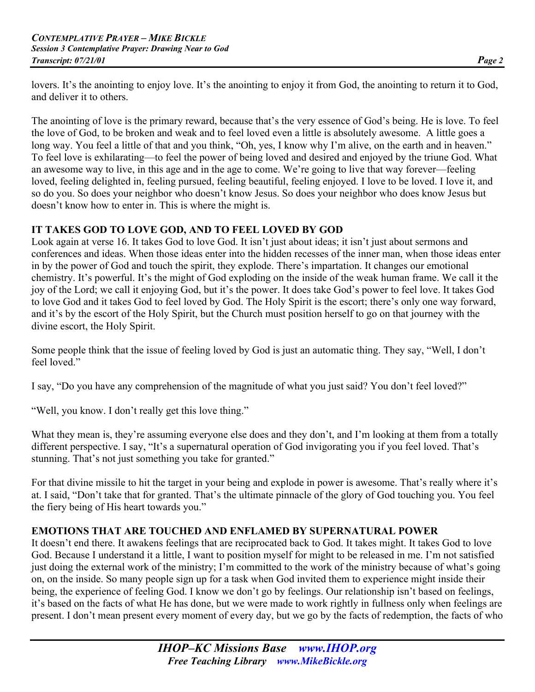lovers. It's the anointing to enjoy love. It's the anointing to enjoy it from God, the anointing to return it to God, and deliver it to others.

The anointing of love is the primary reward, because that's the very essence of God's being. He is love. To feel the love of God, to be broken and weak and to feel loved even a little is absolutely awesome. A little goes a long way. You feel a little of that and you think, "Oh, yes, I know why I'm alive, on the earth and in heaven." To feel love is exhilarating—to feel the power of being loved and desired and enjoyed by the triune God. What an awesome way to live, in this age and in the age to come. We're going to live that way forever—feeling loved, feeling delighted in, feeling pursued, feeling beautiful, feeling enjoyed. I love to be loved. I love it, and so do you. So does your neighbor who doesn't know Jesus. So does your neighbor who does know Jesus but doesn't know how to enter in. This is where the might is.

## **IT TAKES GOD TO LOVE GOD, AND TO FEEL LOVED BY GOD**

Look again at verse 16. It takes God to love God. It isn't just about ideas; it isn't just about sermons and conferences and ideas. When those ideas enter into the hidden recesses of the inner man, when those ideas enter in by the power of God and touch the spirit, they explode. There's impartation. It changes our emotional chemistry. It's powerful. It's the might of God exploding on the inside of the weak human frame. We call it the joy of the Lord; we call it enjoying God, but it's the power. It does take God's power to feel love. It takes God to love God and it takes God to feel loved by God. The Holy Spirit is the escort; there's only one way forward, and it's by the escort of the Holy Spirit, but the Church must position herself to go on that journey with the divine escort, the Holy Spirit.

Some people think that the issue of feeling loved by God is just an automatic thing. They say, "Well, I don't feel loved."

I say, "Do you have any comprehension of the magnitude of what you just said? You don't feel loved?"

"Well, you know. I don't really get this love thing."

What they mean is, they're assuming everyone else does and they don't, and I'm looking at them from a totally different perspective. I say, "It's a supernatural operation of God invigorating you if you feel loved. That's stunning. That's not just something you take for granted."

For that divine missile to hit the target in your being and explode in power is awesome. That's really where it's at. I said, "Don't take that for granted. That's the ultimate pinnacle of the glory of God touching you. You feel the fiery being of His heart towards you."

# **EMOTIONS THAT ARE TOUCHED AND ENFLAMED BY SUPERNATURAL POWER**

It doesn't end there. It awakens feelings that are reciprocated back to God. It takes might. It takes God to love God. Because I understand it a little, I want to position myself for might to be released in me. I'm not satisfied just doing the external work of the ministry; I'm committed to the work of the ministry because of what's going on, on the inside. So many people sign up for a task when God invited them to experience might inside their being, the experience of feeling God. I know we don't go by feelings. Our relationship isn't based on feelings, it's based on the facts of what He has done, but we were made to work rightly in fullness only when feelings are present. I don't mean present every moment of every day, but we go by the facts of redemption, the facts of who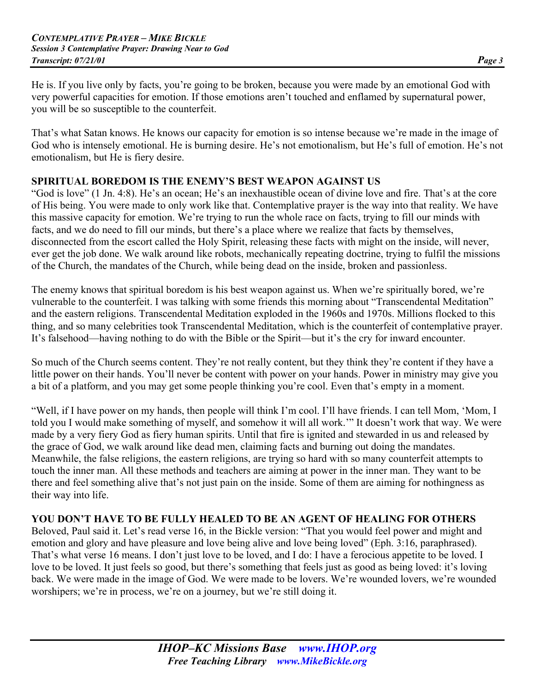He is. If you live only by facts, you're going to be broken, because you were made by an emotional God with very powerful capacities for emotion. If those emotions aren't touched and enflamed by supernatural power, you will be so susceptible to the counterfeit.

That's what Satan knows. He knows our capacity for emotion is so intense because we're made in the image of God who is intensely emotional. He is burning desire. He's not emotionalism, but He's full of emotion. He's not emotionalism, but He is fiery desire.

#### **SPIRITUAL BOREDOM IS THE ENEMY'S BEST WEAPON AGAINST US**

"God is love" (1 Jn. 4:8). He's an ocean; He's an inexhaustible ocean of divine love and fire. That's at the core of His being. You were made to only work like that. Contemplative prayer is the way into that reality. We have this massive capacity for emotion. We're trying to run the whole race on facts, trying to fill our minds with facts, and we do need to fill our minds, but there's a place where we realize that facts by themselves, disconnected from the escort called the Holy Spirit, releasing these facts with might on the inside, will never, ever get the job done. We walk around like robots, mechanically repeating doctrine, trying to fulfil the missions of the Church, the mandates of the Church, while being dead on the inside, broken and passionless.

The enemy knows that spiritual boredom is his best weapon against us. When we're spiritually bored, we're vulnerable to the counterfeit. I was talking with some friends this morning about "Transcendental Meditation" and the eastern religions. Transcendental Meditation exploded in the 1960s and 1970s. Millions flocked to this thing, and so many celebrities took Transcendental Meditation, which is the counterfeit of contemplative prayer. It's falsehood—having nothing to do with the Bible or the Spirit—but it's the cry for inward encounter.

So much of the Church seems content. They're not really content, but they think they're content if they have a little power on their hands. You'll never be content with power on your hands. Power in ministry may give you a bit of a platform, and you may get some people thinking you're cool. Even that's empty in a moment.

"Well, if I have power on my hands, then people will think I'm cool. I'll have friends. I can tell Mom, 'Mom, I told you I would make something of myself, and somehow it will all work.'" It doesn't work that way. We were made by a very fiery God as fiery human spirits. Until that fire is ignited and stewarded in us and released by the grace of God, we walk around like dead men, claiming facts and burning out doing the mandates. Meanwhile, the false religions, the eastern religions, are trying so hard with so many counterfeit attempts to touch the inner man. All these methods and teachers are aiming at power in the inner man. They want to be there and feel something alive that's not just pain on the inside. Some of them are aiming for nothingness as their way into life.

#### **YOU DON'T HAVE TO BE FULLY HEALED TO BE AN AGENT OF HEALING FOR OTHERS**

Beloved, Paul said it. Let's read verse 16, in the Bickle version: "That you would feel power and might and emotion and glory and have pleasure and love being alive and love being loved" (Eph. 3:16, paraphrased). That's what verse 16 means. I don't just love to be loved, and I do: I have a ferocious appetite to be loved. I love to be loved. It just feels so good, but there's something that feels just as good as being loved: it's loving back. We were made in the image of God. We were made to be lovers. We're wounded lovers, we're wounded worshipers; we're in process, we're on a journey, but we're still doing it.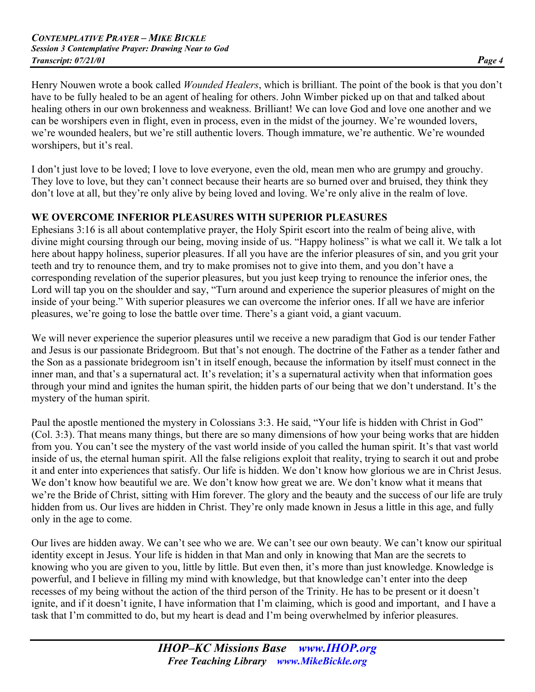Henry Nouwen wrote a book called *Wounded Healers*, which is brilliant. The point of the book is that you don't have to be fully healed to be an agent of healing for others. John Wimber picked up on that and talked about healing others in our own brokenness and weakness. Brilliant! We can love God and love one another and we can be worshipers even in flight, even in process, even in the midst of the journey. We're wounded lovers, we're wounded healers, but we're still authentic lovers. Though immature, we're authentic. We're wounded worshipers, but it's real.

I don't just love to be loved; I love to love everyone, even the old, mean men who are grumpy and grouchy. They love to love, but they can't connect because their hearts are so burned over and bruised, they think they don't love at all, but they're only alive by being loved and loving. We're only alive in the realm of love.

## **WE OVERCOME INFERIOR PLEASURES WITH SUPERIOR PLEASURES**

Ephesians 3:16 is all about contemplative prayer, the Holy Spirit escort into the realm of being alive, with divine might coursing through our being, moving inside of us. "Happy holiness" is what we call it. We talk a lot here about happy holiness, superior pleasures. If all you have are the inferior pleasures of sin, and you grit your teeth and try to renounce them, and try to make promises not to give into them, and you don't have a corresponding revelation of the superior pleasures, but you just keep trying to renounce the inferior ones, the Lord will tap you on the shoulder and say, "Turn around and experience the superior pleasures of might on the inside of your being." With superior pleasures we can overcome the inferior ones. If all we have are inferior pleasures, we're going to lose the battle over time. There's a giant void, a giant vacuum.

We will never experience the superior pleasures until we receive a new paradigm that God is our tender Father and Jesus is our passionate Bridegroom. But that's not enough. The doctrine of the Father as a tender father and the Son as a passionate bridegroom isn't in itself enough, because the information by itself must connect in the inner man, and that's a supernatural act. It's revelation; it's a supernatural activity when that information goes through your mind and ignites the human spirit, the hidden parts of our being that we don't understand. It's the mystery of the human spirit.

Paul the apostle mentioned the mystery in Colossians 3:3. He said, "Your life is hidden with Christ in God" (Col. 3:3). That means many things, but there are so many dimensions of how your being works that are hidden from you. You can't see the mystery of the vast world inside of you called the human spirit. It's that vast world inside of us, the eternal human spirit. All the false religions exploit that reality, trying to search it out and probe it and enter into experiences that satisfy. Our life is hidden. We don't know how glorious we are in Christ Jesus. We don't know how beautiful we are. We don't know how great we are. We don't know what it means that we're the Bride of Christ, sitting with Him forever. The glory and the beauty and the success of our life are truly hidden from us. Our lives are hidden in Christ. They're only made known in Jesus a little in this age, and fully only in the age to come.

Our lives are hidden away. We can't see who we are. We can't see our own beauty. We can't know our spiritual identity except in Jesus. Your life is hidden in that Man and only in knowing that Man are the secrets to knowing who you are given to you, little by little. But even then, it's more than just knowledge. Knowledge is powerful, and I believe in filling my mind with knowledge, but that knowledge can't enter into the deep recesses of my being without the action of the third person of the Trinity. He has to be present or it doesn't ignite, and if it doesn't ignite, I have information that I'm claiming, which is good and important, and I have a task that I'm committed to do, but my heart is dead and I'm being overwhelmed by inferior pleasures.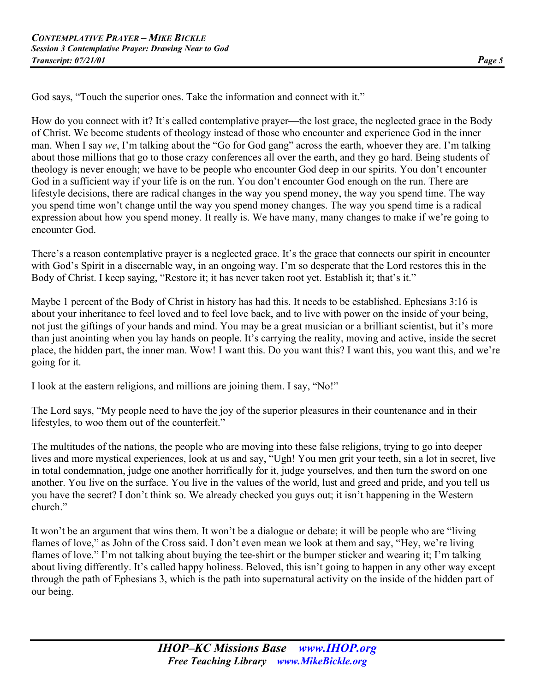God says, "Touch the superior ones. Take the information and connect with it."

How do you connect with it? It's called contemplative prayer—the lost grace, the neglected grace in the Body of Christ. We become students of theology instead of those who encounter and experience God in the inner man. When I say *we*, I'm talking about the "Go for God gang" across the earth, whoever they are. I'm talking about those millions that go to those crazy conferences all over the earth, and they go hard. Being students of theology is never enough; we have to be people who encounter God deep in our spirits. You don't encounter God in a sufficient way if your life is on the run. You don't encounter God enough on the run. There are lifestyle decisions, there are radical changes in the way you spend money, the way you spend time. The way you spend time won't change until the way you spend money changes. The way you spend time is a radical expression about how you spend money. It really is. We have many, many changes to make if we're going to encounter God.

There's a reason contemplative prayer is a neglected grace. It's the grace that connects our spirit in encounter with God's Spirit in a discernable way, in an ongoing way. I'm so desperate that the Lord restores this in the Body of Christ. I keep saying, "Restore it; it has never taken root yet. Establish it; that's it."

Maybe 1 percent of the Body of Christ in history has had this. It needs to be established. Ephesians 3:16 is about your inheritance to feel loved and to feel love back, and to live with power on the inside of your being, not just the giftings of your hands and mind. You may be a great musician or a brilliant scientist, but it's more than just anointing when you lay hands on people. It's carrying the reality, moving and active, inside the secret place, the hidden part, the inner man. Wow! I want this. Do you want this? I want this, you want this, and we're going for it.

I look at the eastern religions, and millions are joining them. I say, "No!"

The Lord says, "My people need to have the joy of the superior pleasures in their countenance and in their lifestyles, to woo them out of the counterfeit."

The multitudes of the nations, the people who are moving into these false religions, trying to go into deeper lives and more mystical experiences, look at us and say, "Ugh! You men grit your teeth, sin a lot in secret, live in total condemnation, judge one another horrifically for it, judge yourselves, and then turn the sword on one another. You live on the surface. You live in the values of the world, lust and greed and pride, and you tell us you have the secret? I don't think so. We already checked you guys out; it isn't happening in the Western church."

It won't be an argument that wins them. It won't be a dialogue or debate; it will be people who are "living flames of love," as John of the Cross said. I don't even mean we look at them and say, "Hey, we're living flames of love." I'm not talking about buying the tee-shirt or the bumper sticker and wearing it; I'm talking about living differently. It's called happy holiness. Beloved, this isn't going to happen in any other way except through the path of Ephesians 3, which is the path into supernatural activity on the inside of the hidden part of our being.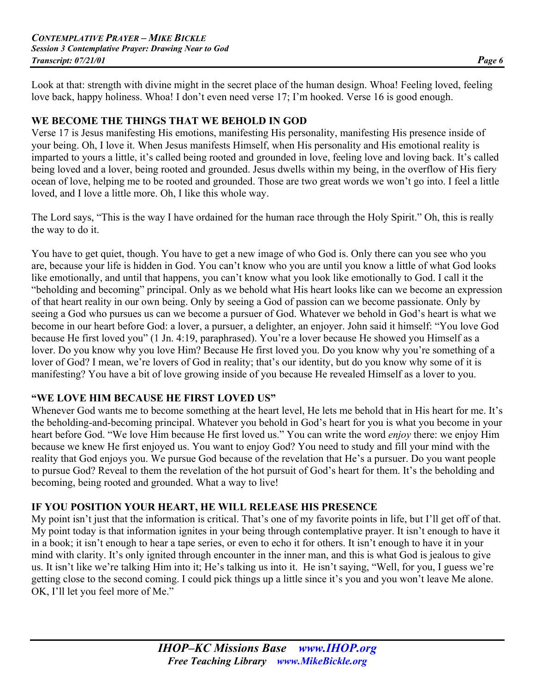Look at that: strength with divine might in the secret place of the human design. Whoa! Feeling loved, feeling love back, happy holiness. Whoa! I don't even need verse 17; I'm hooked. Verse 16 is good enough.

#### **WE BECOME THE THINGS THAT WE BEHOLD IN GOD**

Verse 17 is Jesus manifesting His emotions, manifesting His personality, manifesting His presence inside of your being. Oh, I love it. When Jesus manifests Himself, when His personality and His emotional reality is imparted to yours a little, it's called being rooted and grounded in love, feeling love and loving back. It's called being loved and a lover, being rooted and grounded. Jesus dwells within my being, in the overflow of His fiery ocean of love, helping me to be rooted and grounded. Those are two great words we won't go into. I feel a little loved, and I love a little more. Oh, I like this whole way.

The Lord says, "This is the way I have ordained for the human race through the Holy Spirit." Oh, this is really the way to do it.

You have to get quiet, though. You have to get a new image of who God is. Only there can you see who you are, because your life is hidden in God. You can't know who you are until you know a little of what God looks like emotionally, and until that happens, you can't know what you look like emotionally to God. I call it the "beholding and becoming" principal. Only as we behold what His heart looks like can we become an expression of that heart reality in our own being. Only by seeing a God of passion can we become passionate. Only by seeing a God who pursues us can we become a pursuer of God. Whatever we behold in God's heart is what we become in our heart before God: a lover, a pursuer, a delighter, an enjoyer. John said it himself: "You love God because He first loved you" (1 Jn. 4:19, paraphrased). You're a lover because He showed you Himself as a lover. Do you know why you love Him? Because He first loved you. Do you know why you're something of a lover of God? I mean, we're lovers of God in reality; that's our identity, but do you know why some of it is manifesting? You have a bit of love growing inside of you because He revealed Himself as a lover to you.

#### **"WE LOVE HIM BECAUSE HE FIRST LOVED US"**

Whenever God wants me to become something at the heart level, He lets me behold that in His heart for me. It's the beholding-and-becoming principal. Whatever you behold in God's heart for you is what you become in your heart before God. "We love Him because He first loved us." You can write the word *enjoy* there: we enjoy Him because we knew He first enjoyed us. You want to enjoy God? You need to study and fill your mind with the reality that God enjoys you. We pursue God because of the revelation that He's a pursuer. Do you want people to pursue God? Reveal to them the revelation of the hot pursuit of God's heart for them. It's the beholding and becoming, being rooted and grounded. What a way to live!

#### **IF YOU POSITION YOUR HEART, HE WILL RELEASE HIS PRESENCE**

My point isn't just that the information is critical. That's one of my favorite points in life, but I'll get off of that. My point today is that information ignites in your being through contemplative prayer. It isn't enough to have it in a book; it isn't enough to hear a tape series, or even to echo it for others. It isn't enough to have it in your mind with clarity. It's only ignited through encounter in the inner man, and this is what God is jealous to give us. It isn't like we're talking Him into it; He's talking us into it. He isn't saying, "Well, for you, I guess we're getting close to the second coming. I could pick things up a little since it's you and you won't leave Me alone. OK, I'll let you feel more of Me."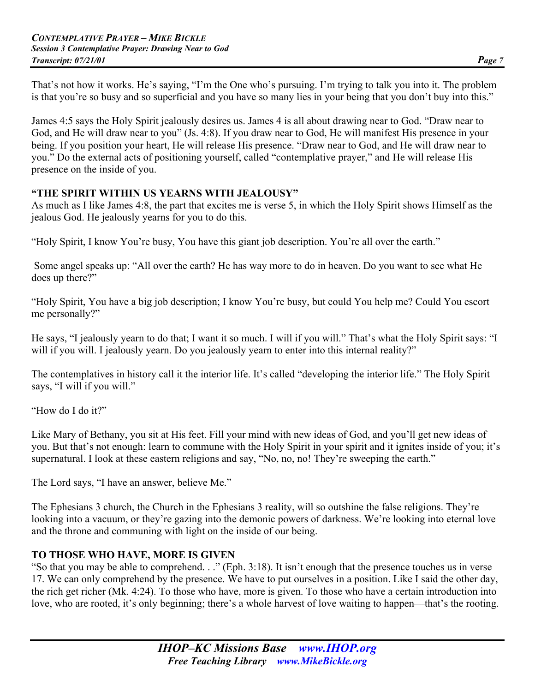That's not how it works. He's saying, "I'm the One who's pursuing. I'm trying to talk you into it. The problem is that you're so busy and so superficial and you have so many lies in your being that you don't buy into this."

James 4:5 says the Holy Spirit jealously desires us. James 4 is all about drawing near to God. "Draw near to God, and He will draw near to you" (Js. 4:8). If you draw near to God, He will manifest His presence in your being. If you position your heart, He will release His presence. "Draw near to God, and He will draw near to you." Do the external acts of positioning yourself, called "contemplative prayer," and He will release His presence on the inside of you.

#### **"THE SPIRIT WITHIN US YEARNS WITH JEALOUSY"**

As much as I like James 4:8, the part that excites me is verse 5, in which the Holy Spirit shows Himself as the jealous God. He jealously yearns for you to do this.

"Holy Spirit, I know You're busy, You have this giant job description. You're all over the earth."

 Some angel speaks up: "All over the earth? He has way more to do in heaven. Do you want to see what He does up there?"

"Holy Spirit, You have a big job description; I know You're busy, but could You help me? Could You escort me personally?"

He says, "I jealously yearn to do that; I want it so much. I will if you will." That's what the Holy Spirit says: "I will if you will. I jealously yearn. Do you jealously yearn to enter into this internal reality?"

The contemplatives in history call it the interior life. It's called "developing the interior life." The Holy Spirit says, "I will if you will."

"How do I do it?"

Like Mary of Bethany, you sit at His feet. Fill your mind with new ideas of God, and you'll get new ideas of you. But that's not enough: learn to commune with the Holy Spirit in your spirit and it ignites inside of you; it's supernatural. I look at these eastern religions and say, "No, no, no! They're sweeping the earth."

The Lord says, "I have an answer, believe Me."

The Ephesians 3 church, the Church in the Ephesians 3 reality, will so outshine the false religions. They're looking into a vacuum, or they're gazing into the demonic powers of darkness. We're looking into eternal love and the throne and communing with light on the inside of our being.

#### **TO THOSE WHO HAVE, MORE IS GIVEN**

"So that you may be able to comprehend. . ." (Eph. 3:18). It isn't enough that the presence touches us in verse 17. We can only comprehend by the presence. We have to put ourselves in a position. Like I said the other day, the rich get richer (Mk. 4:24). To those who have, more is given. To those who have a certain introduction into love, who are rooted, it's only beginning; there's a whole harvest of love waiting to happen—that's the rooting.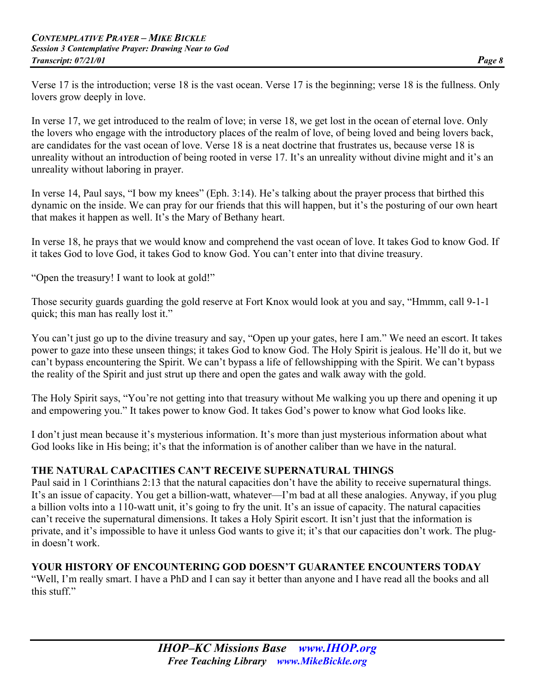Verse 17 is the introduction; verse 18 is the vast ocean. Verse 17 is the beginning; verse 18 is the fullness. Only lovers grow deeply in love.

In verse 17, we get introduced to the realm of love; in verse 18, we get lost in the ocean of eternal love. Only the lovers who engage with the introductory places of the realm of love, of being loved and being lovers back, are candidates for the vast ocean of love. Verse 18 is a neat doctrine that frustrates us, because verse 18 is unreality without an introduction of being rooted in verse 17. It's an unreality without divine might and it's an unreality without laboring in prayer.

In verse 14, Paul says, "I bow my knees" (Eph. 3:14). He's talking about the prayer process that birthed this dynamic on the inside. We can pray for our friends that this will happen, but it's the posturing of our own heart that makes it happen as well. It's the Mary of Bethany heart.

In verse 18, he prays that we would know and comprehend the vast ocean of love. It takes God to know God. If it takes God to love God, it takes God to know God. You can't enter into that divine treasury.

"Open the treasury! I want to look at gold!"

Those security guards guarding the gold reserve at Fort Knox would look at you and say, "Hmmm, call 9-1-1 quick; this man has really lost it."

You can't just go up to the divine treasury and say, "Open up your gates, here I am." We need an escort. It takes power to gaze into these unseen things; it takes God to know God. The Holy Spirit is jealous. He'll do it, but we can't bypass encountering the Spirit. We can't bypass a life of fellowshipping with the Spirit. We can't bypass the reality of the Spirit and just strut up there and open the gates and walk away with the gold.

The Holy Spirit says, "You're not getting into that treasury without Me walking you up there and opening it up and empowering you." It takes power to know God. It takes God's power to know what God looks like.

I don't just mean because it's mysterious information. It's more than just mysterious information about what God looks like in His being; it's that the information is of another caliber than we have in the natural.

#### **THE NATURAL CAPACITIES CAN'T RECEIVE SUPERNATURAL THINGS**

Paul said in 1 Corinthians 2:13 that the natural capacities don't have the ability to receive supernatural things. It's an issue of capacity. You get a billion-watt, whatever—I'm bad at all these analogies. Anyway, if you plug a billion volts into a 110-watt unit, it's going to fry the unit. It's an issue of capacity. The natural capacities can't receive the supernatural dimensions. It takes a Holy Spirit escort. It isn't just that the information is private, and it's impossible to have it unless God wants to give it; it's that our capacities don't work. The plugin doesn't work.

#### **YOUR HISTORY OF ENCOUNTERING GOD DOESN'T GUARANTEE ENCOUNTERS TODAY**

"Well, I'm really smart. I have a PhD and I can say it better than anyone and I have read all the books and all this stuff."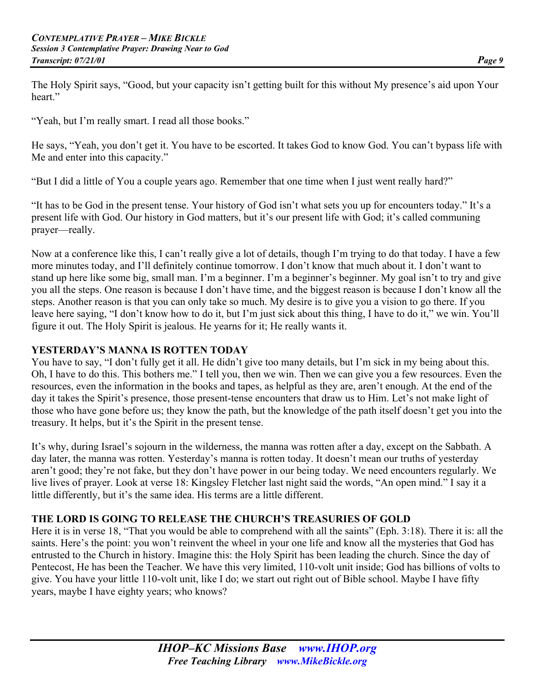The Holy Spirit says, "Good, but your capacity isn't getting built for this without My presence's aid upon Your heart."

"Yeah, but I'm really smart. I read all those books."

He says, "Yeah, you don't get it. You have to be escorted. It takes God to know God. You can't bypass life with Me and enter into this capacity."

"But I did a little of You a couple years ago. Remember that one time when I just went really hard?"

"It has to be God in the present tense. Your history of God isn't what sets you up for encounters today." It's a present life with God. Our history in God matters, but it's our present life with God; it's called communing prayer—really.

Now at a conference like this, I can't really give a lot of details, though I'm trying to do that today. I have a few more minutes today, and I'll definitely continue tomorrow. I don't know that much about it. I don't want to stand up here like some big, small man. I'm a beginner. I'm a beginner's beginner. My goal isn't to try and give you all the steps. One reason is because I don't have time, and the biggest reason is because I don't know all the steps. Another reason is that you can only take so much. My desire is to give you a vision to go there. If you leave here saying, "I don't know how to do it, but I'm just sick about this thing, I have to do it," we win. You'll figure it out. The Holy Spirit is jealous. He yearns for it; He really wants it.

#### **YESTERDAY'S MANNA IS ROTTEN TODAY**

You have to say, "I don't fully get it all. He didn't give too many details, but I'm sick in my being about this. Oh, I have to do this. This bothers me." I tell you, then we win. Then we can give you a few resources. Even the resources, even the information in the books and tapes, as helpful as they are, aren't enough. At the end of the day it takes the Spirit's presence, those present-tense encounters that draw us to Him. Let's not make light of those who have gone before us; they know the path, but the knowledge of the path itself doesn't get you into the treasury. It helps, but it's the Spirit in the present tense.

It's why, during Israel's sojourn in the wilderness, the manna was rotten after a day, except on the Sabbath. A day later, the manna was rotten. Yesterday's manna is rotten today. It doesn't mean our truths of yesterday aren't good; they're not fake, but they don't have power in our being today. We need encounters regularly. We live lives of prayer. Look at verse 18: Kingsley Fletcher last night said the words, "An open mind." I say it a little differently, but it's the same idea. His terms are a little different.

#### **THE LORD IS GOING TO RELEASE THE CHURCH'S TREASURIES OF GOLD**

Here it is in verse 18, "That you would be able to comprehend with all the saints" (Eph. 3:18). There it is: all the saints. Here's the point: you won't reinvent the wheel in your one life and know all the mysteries that God has entrusted to the Church in history. Imagine this: the Holy Spirit has been leading the church. Since the day of Pentecost, He has been the Teacher. We have this very limited, 110-volt unit inside; God has billions of volts to give. You have your little 110-volt unit, like I do; we start out right out of Bible school. Maybe I have fifty years, maybe I have eighty years; who knows?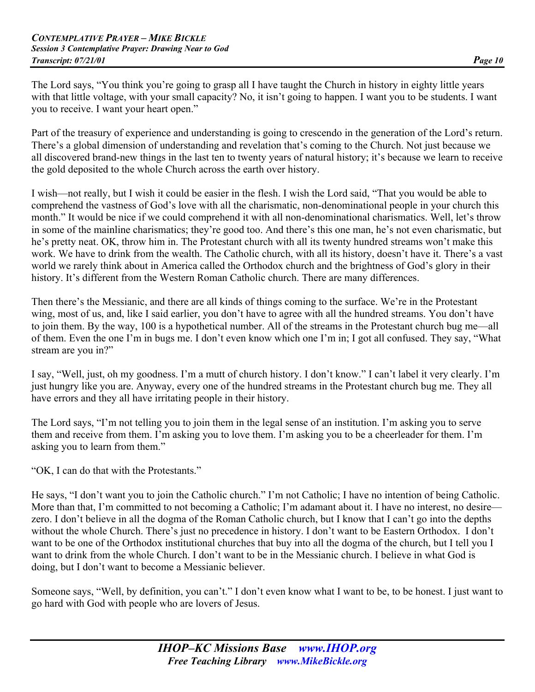The Lord says, "You think you're going to grasp all I have taught the Church in history in eighty little years with that little voltage, with your small capacity? No, it isn't going to happen. I want you to be students. I want you to receive. I want your heart open."

Part of the treasury of experience and understanding is going to crescendo in the generation of the Lord's return. There's a global dimension of understanding and revelation that's coming to the Church. Not just because we all discovered brand-new things in the last ten to twenty years of natural history; it's because we learn to receive the gold deposited to the whole Church across the earth over history.

I wish—not really, but I wish it could be easier in the flesh. I wish the Lord said, "That you would be able to comprehend the vastness of God's love with all the charismatic, non-denominational people in your church this month." It would be nice if we could comprehend it with all non-denominational charismatics. Well, let's throw in some of the mainline charismatics; they're good too. And there's this one man, he's not even charismatic, but he's pretty neat. OK, throw him in. The Protestant church with all its twenty hundred streams won't make this work. We have to drink from the wealth. The Catholic church, with all its history, doesn't have it. There's a vast world we rarely think about in America called the Orthodox church and the brightness of God's glory in their history. It's different from the Western Roman Catholic church. There are many differences.

Then there's the Messianic, and there are all kinds of things coming to the surface. We're in the Protestant wing, most of us, and, like I said earlier, you don't have to agree with all the hundred streams. You don't have to join them. By the way, 100 is a hypothetical number. All of the streams in the Protestant church bug me—all of them. Even the one I'm in bugs me. I don't even know which one I'm in; I got all confused. They say, "What stream are you in?"

I say, "Well, just, oh my goodness. I'm a mutt of church history. I don't know." I can't label it very clearly. I'm just hungry like you are. Anyway, every one of the hundred streams in the Protestant church bug me. They all have errors and they all have irritating people in their history.

The Lord says, "I'm not telling you to join them in the legal sense of an institution. I'm asking you to serve them and receive from them. I'm asking you to love them. I'm asking you to be a cheerleader for them. I'm asking you to learn from them."

"OK, I can do that with the Protestants."

He says, "I don't want you to join the Catholic church." I'm not Catholic; I have no intention of being Catholic. More than that, I'm committed to not becoming a Catholic; I'm adamant about it. I have no interest, no desire zero. I don't believe in all the dogma of the Roman Catholic church, but I know that I can't go into the depths without the whole Church. There's just no precedence in history. I don't want to be Eastern Orthodox. I don't want to be one of the Orthodox institutional churches that buy into all the dogma of the church, but I tell you I want to drink from the whole Church. I don't want to be in the Messianic church. I believe in what God is doing, but I don't want to become a Messianic believer.

Someone says, "Well, by definition, you can't." I don't even know what I want to be, to be honest. I just want to go hard with God with people who are lovers of Jesus.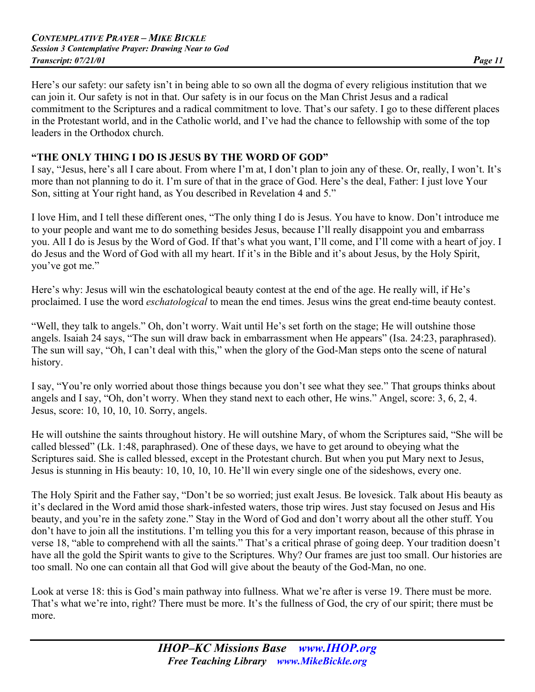Here's our safety: our safety isn't in being able to so own all the dogma of every religious institution that we can join it. Our safety is not in that. Our safety is in our focus on the Man Christ Jesus and a radical commitment to the Scriptures and a radical commitment to love. That's our safety. I go to these different places in the Protestant world, and in the Catholic world, and I've had the chance to fellowship with some of the top leaders in the Orthodox church.

#### **"THE ONLY THING I DO IS JESUS BY THE WORD OF GOD"**

I say, "Jesus, here's all I care about. From where I'm at, I don't plan to join any of these. Or, really, I won't. It's more than not planning to do it. I'm sure of that in the grace of God. Here's the deal, Father: I just love Your Son, sitting at Your right hand, as You described in Revelation 4 and 5."

I love Him, and I tell these different ones, "The only thing I do is Jesus. You have to know. Don't introduce me to your people and want me to do something besides Jesus, because I'll really disappoint you and embarrass you. All I do is Jesus by the Word of God. If that's what you want, I'll come, and I'll come with a heart of joy. I do Jesus and the Word of God with all my heart. If it's in the Bible and it's about Jesus, by the Holy Spirit, you've got me."

Here's why: Jesus will win the eschatological beauty contest at the end of the age. He really will, if He's proclaimed. I use the word *eschatological* to mean the end times. Jesus wins the great end-time beauty contest.

"Well, they talk to angels." Oh, don't worry. Wait until He's set forth on the stage; He will outshine those angels. Isaiah 24 says, "The sun will draw back in embarrassment when He appears" (Isa. 24:23, paraphrased). The sun will say, "Oh, I can't deal with this," when the glory of the God-Man steps onto the scene of natural history.

I say, "You're only worried about those things because you don't see what they see." That groups thinks about angels and I say, "Oh, don't worry. When they stand next to each other, He wins." Angel, score: 3, 6, 2, 4. Jesus, score: 10, 10, 10, 10. Sorry, angels.

He will outshine the saints throughout history. He will outshine Mary, of whom the Scriptures said, "She will be called blessed" (Lk. 1:48, paraphrased). One of these days, we have to get around to obeying what the Scriptures said. She is called blessed, except in the Protestant church. But when you put Mary next to Jesus, Jesus is stunning in His beauty: 10, 10, 10, 10. He'll win every single one of the sideshows, every one.

The Holy Spirit and the Father say, "Don't be so worried; just exalt Jesus. Be lovesick. Talk about His beauty as it's declared in the Word amid those shark-infested waters, those trip wires. Just stay focused on Jesus and His beauty, and you're in the safety zone." Stay in the Word of God and don't worry about all the other stuff. You don't have to join all the institutions. I'm telling you this for a very important reason, because of this phrase in verse 18, "able to comprehend with all the saints." That's a critical phrase of going deep. Your tradition doesn't have all the gold the Spirit wants to give to the Scriptures. Why? Our frames are just too small. Our histories are too small. No one can contain all that God will give about the beauty of the God-Man, no one.

Look at verse 18: this is God's main pathway into fullness. What we're after is verse 19. There must be more. That's what we're into, right? There must be more. It's the fullness of God, the cry of our spirit; there must be more.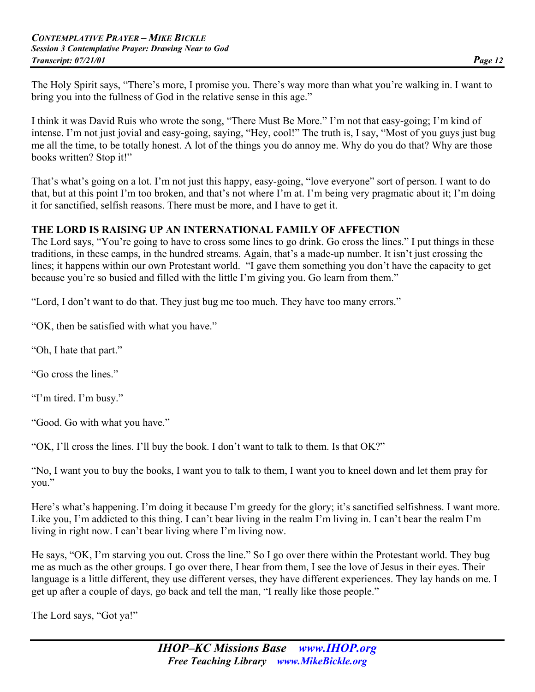The Holy Spirit says, "There's more, I promise you. There's way more than what you're walking in. I want to bring you into the fullness of God in the relative sense in this age."

I think it was David Ruis who wrote the song, "There Must Be More." I'm not that easy-going; I'm kind of intense. I'm not just jovial and easy-going, saying, "Hey, cool!" The truth is, I say, "Most of you guys just bug me all the time, to be totally honest. A lot of the things you do annoy me. Why do you do that? Why are those books written? Stop it!"

That's what's going on a lot. I'm not just this happy, easy-going, "love everyone" sort of person. I want to do that, but at this point I'm too broken, and that's not where I'm at. I'm being very pragmatic about it; I'm doing it for sanctified, selfish reasons. There must be more, and I have to get it.

#### **THE LORD IS RAISING UP AN INTERNATIONAL FAMILY OF AFFECTION**

The Lord says, "You're going to have to cross some lines to go drink. Go cross the lines." I put things in these traditions, in these camps, in the hundred streams. Again, that's a made-up number. It isn't just crossing the lines; it happens within our own Protestant world. "I gave them something you don't have the capacity to get because you're so busied and filled with the little I'm giving you. Go learn from them."

"Lord, I don't want to do that. They just bug me too much. They have too many errors."

"OK, then be satisfied with what you have."

"Oh, I hate that part."

"Go cross the lines."

"I'm tired. I'm busy."

"Good. Go with what you have."

"OK, I'll cross the lines. I'll buy the book. I don't want to talk to them. Is that OK?"

"No, I want you to buy the books, I want you to talk to them, I want you to kneel down and let them pray for you."

Here's what's happening. I'm doing it because I'm greedy for the glory; it's sanctified selfishness. I want more. Like you, I'm addicted to this thing. I can't bear living in the realm I'm living in. I can't bear the realm I'm living in right now. I can't bear living where I'm living now.

He says, "OK, I'm starving you out. Cross the line." So I go over there within the Protestant world. They bug me as much as the other groups. I go over there, I hear from them, I see the love of Jesus in their eyes. Their language is a little different, they use different verses, they have different experiences. They lay hands on me. I get up after a couple of days, go back and tell the man, "I really like those people."

The Lord says, "Got ya!"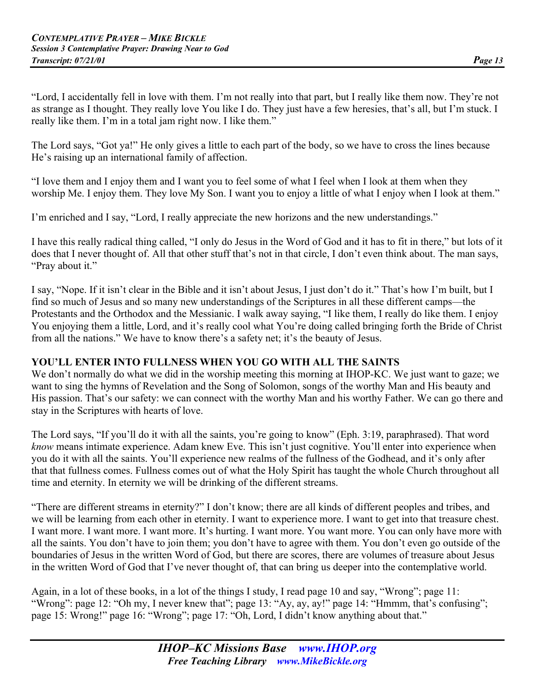"Lord, I accidentally fell in love with them. I'm not really into that part, but I really like them now. They're not as strange as I thought. They really love You like I do. They just have a few heresies, that's all, but I'm stuck. I really like them. I'm in a total jam right now. I like them."

The Lord says, "Got ya!" He only gives a little to each part of the body, so we have to cross the lines because He's raising up an international family of affection.

"I love them and I enjoy them and I want you to feel some of what I feel when I look at them when they worship Me. I enjoy them. They love My Son. I want you to enjoy a little of what I enjoy when I look at them."

I'm enriched and I say, "Lord, I really appreciate the new horizons and the new understandings."

I have this really radical thing called, "I only do Jesus in the Word of God and it has to fit in there," but lots of it does that I never thought of. All that other stuff that's not in that circle, I don't even think about. The man says, "Pray about it."

I say, "Nope. If it isn't clear in the Bible and it isn't about Jesus, I just don't do it." That's how I'm built, but I find so much of Jesus and so many new understandings of the Scriptures in all these different camps—the Protestants and the Orthodox and the Messianic. I walk away saying, "I like them, I really do like them. I enjoy You enjoying them a little, Lord, and it's really cool what You're doing called bringing forth the Bride of Christ from all the nations." We have to know there's a safety net; it's the beauty of Jesus.

#### **YOU'LL ENTER INTO FULLNESS WHEN YOU GO WITH ALL THE SAINTS**

We don't normally do what we did in the worship meeting this morning at IHOP-KC. We just want to gaze; we want to sing the hymns of Revelation and the Song of Solomon, songs of the worthy Man and His beauty and His passion. That's our safety: we can connect with the worthy Man and his worthy Father. We can go there and stay in the Scriptures with hearts of love.

The Lord says, "If you'll do it with all the saints, you're going to know" (Eph. 3:19, paraphrased). That word *know* means intimate experience. Adam knew Eve. This isn't just cognitive. You'll enter into experience when you do it with all the saints. You'll experience new realms of the fullness of the Godhead, and it's only after that that fullness comes. Fullness comes out of what the Holy Spirit has taught the whole Church throughout all time and eternity. In eternity we will be drinking of the different streams.

"There are different streams in eternity?" I don't know; there are all kinds of different peoples and tribes, and we will be learning from each other in eternity. I want to experience more. I want to get into that treasure chest. I want more. I want more. I want more. It's hurting. I want more. You want more. You can only have more with all the saints. You don't have to join them; you don't have to agree with them. You don't even go outside of the boundaries of Jesus in the written Word of God, but there are scores, there are volumes of treasure about Jesus in the written Word of God that I've never thought of, that can bring us deeper into the contemplative world.

Again, in a lot of these books, in a lot of the things I study, I read page 10 and say, "Wrong"; page 11: "Wrong": page 12: "Oh my, I never knew that"; page 13: "Ay, ay, ay!" page 14: "Hmmm, that's confusing"; page 15: Wrong!" page 16: "Wrong"; page 17: "Oh, Lord, I didn't know anything about that."